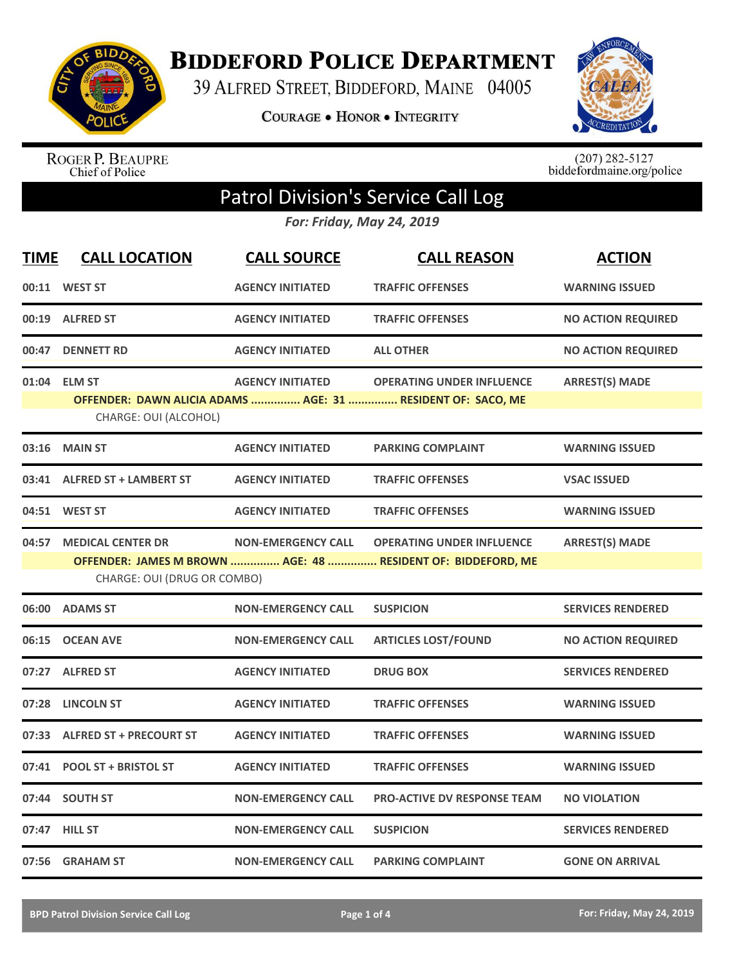

**BIDDEFORD POLICE DEPARTMENT** 

39 ALFRED STREET, BIDDEFORD, MAINE 04005

**COURAGE . HONOR . INTEGRITY** 



ROGER P. BEAUPRE<br>Chief of Police

 $(207)$  282-5127<br>biddefordmaine.org/police

## Patrol Division's Service Call Log

*For: Friday, May 24, 2019*

| <b>TIME</b> | <b>CALL LOCATION</b>          | <b>CALL SOURCE</b>        | <b>CALL REASON</b>                                           | <b>ACTION</b>             |
|-------------|-------------------------------|---------------------------|--------------------------------------------------------------|---------------------------|
|             | 00:11 WEST ST                 | <b>AGENCY INITIATED</b>   | <b>TRAFFIC OFFENSES</b>                                      | <b>WARNING ISSUED</b>     |
|             | 00:19 ALFRED ST               | <b>AGENCY INITIATED</b>   | <b>TRAFFIC OFFENSES</b>                                      | <b>NO ACTION REQUIRED</b> |
| 00:47       | <b>DENNETT RD</b>             | <b>AGENCY INITIATED</b>   | <b>ALL OTHER</b>                                             | <b>NO ACTION REQUIRED</b> |
|             | 01:04 ELM ST                  | <b>AGENCY INITIATED</b>   | <b>OPERATING UNDER INFLUENCE</b>                             | <b>ARREST(S) MADE</b>     |
|             | CHARGE: OUI (ALCOHOL)         |                           | OFFENDER: DAWN ALICIA ADAMS  AGE: 31  RESIDENT OF: SACO, ME  |                           |
| 03:16       | <b>MAIN ST</b>                | <b>AGENCY INITIATED</b>   | <b>PARKING COMPLAINT</b>                                     | <b>WARNING ISSUED</b>     |
|             | 03:41 ALFRED ST + LAMBERT ST  | <b>AGENCY INITIATED</b>   | <b>TRAFFIC OFFENSES</b>                                      | <b>VSAC ISSUED</b>        |
|             | 04:51 WEST ST                 | <b>AGENCY INITIATED</b>   | <b>TRAFFIC OFFENSES</b>                                      | <b>WARNING ISSUED</b>     |
| 04:57       | <b>MEDICAL CENTER DR</b>      | <b>NON-EMERGENCY CALL</b> | <b>OPERATING UNDER INFLUENCE</b>                             | <b>ARREST(S) MADE</b>     |
|             |                               |                           | OFFENDER: JAMES M BROWN  AGE: 48  RESIDENT OF: BIDDEFORD, ME |                           |
|             | CHARGE: OUI (DRUG OR COMBO)   |                           |                                                              |                           |
|             | 06:00 ADAMS ST                | <b>NON-EMERGENCY CALL</b> | <b>SUSPICION</b>                                             | <b>SERVICES RENDERED</b>  |
|             | 06:15 OCEAN AVE               | <b>NON-EMERGENCY CALL</b> | <b>ARTICLES LOST/FOUND</b>                                   | <b>NO ACTION REQUIRED</b> |
|             | 07:27 ALFRED ST               | <b>AGENCY INITIATED</b>   | <b>DRUG BOX</b>                                              | <b>SERVICES RENDERED</b>  |
| 07:28       | <b>LINCOLN ST</b>             | <b>AGENCY INITIATED</b>   | <b>TRAFFIC OFFENSES</b>                                      | <b>WARNING ISSUED</b>     |
|             | 07:33 ALFRED ST + PRECOURT ST | <b>AGENCY INITIATED</b>   | <b>TRAFFIC OFFENSES</b>                                      | <b>WARNING ISSUED</b>     |
| 07:41       | <b>POOL ST + BRISTOL ST</b>   | <b>AGENCY INITIATED</b>   | <b>TRAFFIC OFFENSES</b>                                      | <b>WARNING ISSUED</b>     |
|             | 07:44 SOUTH ST                | <b>NON-EMERGENCY CALL</b> | <b>PRO-ACTIVE DV RESPONSE TEAM</b>                           | <b>NO VIOLATION</b>       |
|             | 07:47 HILL ST                 | <b>NON-EMERGENCY CALL</b> | <b>SUSPICION</b>                                             | <b>SERVICES RENDERED</b>  |
|             | 07:56 GRAHAM ST               | <b>NON-EMERGENCY CALL</b> | <b>PARKING COMPLAINT</b>                                     | <b>GONE ON ARRIVAL</b>    |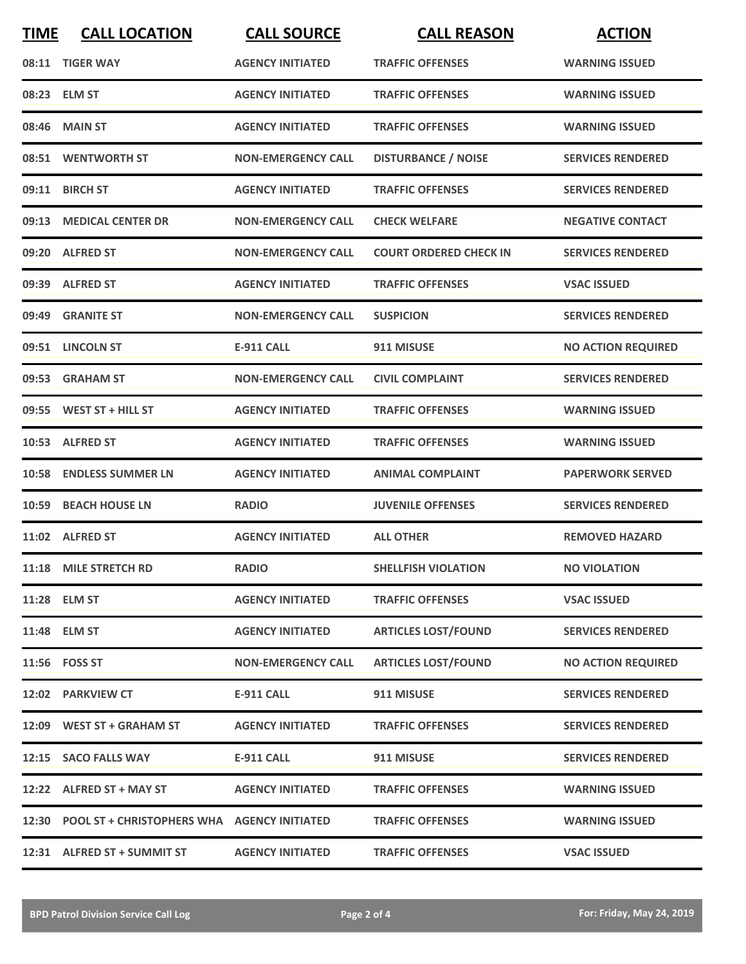| <b>TIME</b> | <b>CALL LOCATION</b>                              | <b>CALL SOURCE</b>        | <b>CALL REASON</b>            | <b>ACTION</b>             |
|-------------|---------------------------------------------------|---------------------------|-------------------------------|---------------------------|
|             | 08:11 TIGER WAY                                   | <b>AGENCY INITIATED</b>   | <b>TRAFFIC OFFENSES</b>       | <b>WARNING ISSUED</b>     |
| 08:23       | <b>ELM ST</b>                                     | <b>AGENCY INITIATED</b>   | <b>TRAFFIC OFFENSES</b>       | <b>WARNING ISSUED</b>     |
| 08:46       | <b>MAIN ST</b>                                    | <b>AGENCY INITIATED</b>   | <b>TRAFFIC OFFENSES</b>       | <b>WARNING ISSUED</b>     |
|             | 08:51 WENTWORTH ST                                | <b>NON-EMERGENCY CALL</b> | <b>DISTURBANCE / NOISE</b>    | <b>SERVICES RENDERED</b>  |
| 09:11       | <b>BIRCH ST</b>                                   | <b>AGENCY INITIATED</b>   | <b>TRAFFIC OFFENSES</b>       | <b>SERVICES RENDERED</b>  |
| 09:13       | <b>MEDICAL CENTER DR</b>                          | <b>NON-EMERGENCY CALL</b> | <b>CHECK WELFARE</b>          | <b>NEGATIVE CONTACT</b>   |
|             | 09:20 ALFRED ST                                   | <b>NON-EMERGENCY CALL</b> | <b>COURT ORDERED CHECK IN</b> | <b>SERVICES RENDERED</b>  |
| 09:39       | <b>ALFRED ST</b>                                  | <b>AGENCY INITIATED</b>   | <b>TRAFFIC OFFENSES</b>       | <b>VSAC ISSUED</b>        |
| 09:49       | <b>GRANITE ST</b>                                 | <b>NON-EMERGENCY CALL</b> | <b>SUSPICION</b>              | <b>SERVICES RENDERED</b>  |
|             | 09:51 LINCOLN ST                                  | <b>E-911 CALL</b>         | 911 MISUSE                    | <b>NO ACTION REQUIRED</b> |
|             | 09:53 GRAHAM ST                                   | <b>NON-EMERGENCY CALL</b> | <b>CIVIL COMPLAINT</b>        | <b>SERVICES RENDERED</b>  |
| 09:55       | WEST ST + HILL ST                                 | <b>AGENCY INITIATED</b>   | <b>TRAFFIC OFFENSES</b>       | <b>WARNING ISSUED</b>     |
|             | 10:53 ALFRED ST                                   | <b>AGENCY INITIATED</b>   | <b>TRAFFIC OFFENSES</b>       | <b>WARNING ISSUED</b>     |
| 10:58       | <b>ENDLESS SUMMER LN</b>                          | <b>AGENCY INITIATED</b>   | <b>ANIMAL COMPLAINT</b>       | <b>PAPERWORK SERVED</b>   |
| 10:59       | <b>BEACH HOUSE LN</b>                             | <b>RADIO</b>              | <b>JUVENILE OFFENSES</b>      | <b>SERVICES RENDERED</b>  |
|             | 11:02 ALFRED ST                                   | <b>AGENCY INITIATED</b>   | <b>ALL OTHER</b>              | <b>REMOVED HAZARD</b>     |
|             | 11:18 MILE STRETCH RD                             | <b>RADIO</b>              | <b>SHELLFISH VIOLATION</b>    | <b>NO VIOLATION</b>       |
|             | 11:28 ELM ST                                      | <b>AGENCY INITIATED</b>   | <b>TRAFFIC OFFENSES</b>       | <b>VSAC ISSUED</b>        |
|             | 11:48 ELM ST                                      | <b>AGENCY INITIATED</b>   | <b>ARTICLES LOST/FOUND</b>    | <b>SERVICES RENDERED</b>  |
|             | 11:56 FOSS ST                                     | <b>NON-EMERGENCY CALL</b> | <b>ARTICLES LOST/FOUND</b>    | <b>NO ACTION REQUIRED</b> |
|             | 12:02 PARKVIEW CT                                 | <b>E-911 CALL</b>         | 911 MISUSE                    | <b>SERVICES RENDERED</b>  |
|             | 12:09 WEST ST + GRAHAM ST                         | <b>AGENCY INITIATED</b>   | <b>TRAFFIC OFFENSES</b>       | <b>SERVICES RENDERED</b>  |
|             | 12:15 SACO FALLS WAY                              | <b>E-911 CALL</b>         | 911 MISUSE                    | <b>SERVICES RENDERED</b>  |
|             | 12:22 ALFRED ST + MAY ST                          | <b>AGENCY INITIATED</b>   | <b>TRAFFIC OFFENSES</b>       | <b>WARNING ISSUED</b>     |
|             | 12:30 POOL ST + CHRISTOPHERS WHA AGENCY INITIATED |                           | <b>TRAFFIC OFFENSES</b>       | <b>WARNING ISSUED</b>     |
|             | 12:31 ALFRED ST + SUMMIT ST                       | <b>AGENCY INITIATED</b>   | <b>TRAFFIC OFFENSES</b>       | <b>VSAC ISSUED</b>        |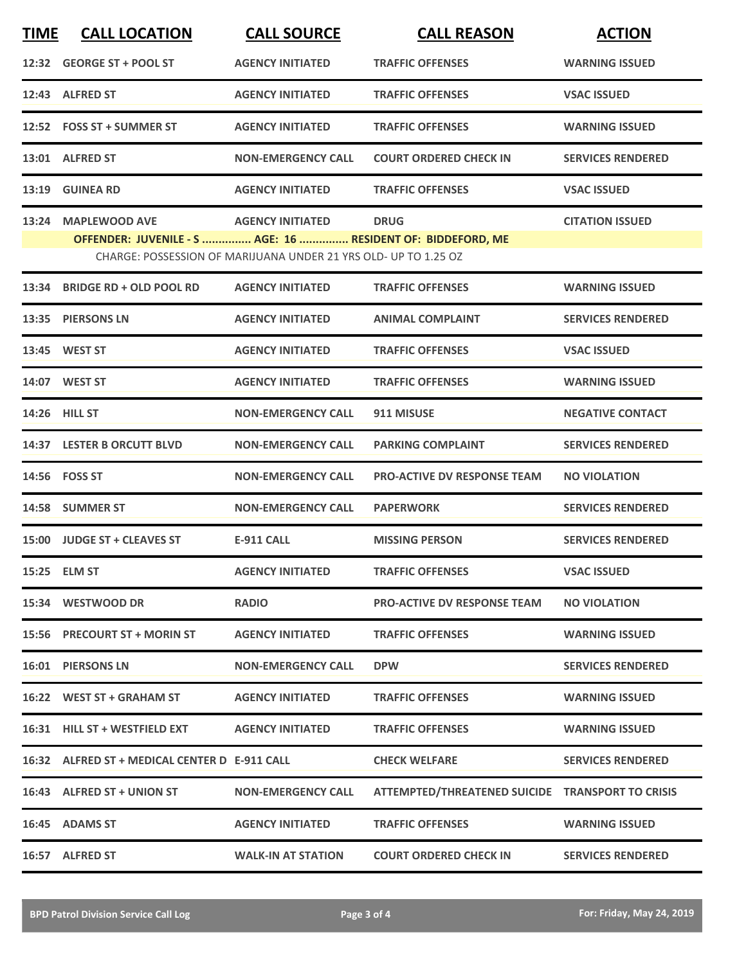| <b>TIME</b> | <b>CALL LOCATION</b>                                                                                                           | <b>CALL SOURCE</b>        | <b>CALL REASON</b>                               | <b>ACTION</b>            |  |  |
|-------------|--------------------------------------------------------------------------------------------------------------------------------|---------------------------|--------------------------------------------------|--------------------------|--|--|
|             | 12:32 GEORGE ST + POOL ST                                                                                                      | <b>AGENCY INITIATED</b>   | <b>TRAFFIC OFFENSES</b>                          | <b>WARNING ISSUED</b>    |  |  |
|             | 12:43 ALFRED ST                                                                                                                | <b>AGENCY INITIATED</b>   | <b>TRAFFIC OFFENSES</b>                          | <b>VSAC ISSUED</b>       |  |  |
|             | 12:52 FOSS ST + SUMMER ST                                                                                                      | <b>AGENCY INITIATED</b>   | <b>TRAFFIC OFFENSES</b>                          | <b>WARNING ISSUED</b>    |  |  |
|             | 13:01 ALFRED ST                                                                                                                | <b>NON-EMERGENCY CALL</b> | <b>COURT ORDERED CHECK IN</b>                    | <b>SERVICES RENDERED</b> |  |  |
|             | 13:19 GUINEA RD                                                                                                                | <b>AGENCY INITIATED</b>   | <b>TRAFFIC OFFENSES</b>                          | <b>VSAC ISSUED</b>       |  |  |
|             | 13:24 MAPLEWOOD AVE                                                                                                            | <b>AGENCY INITIATED</b>   | <b>DRUG</b>                                      | <b>CITATION ISSUED</b>   |  |  |
|             | OFFENDER: JUVENILE - S  AGE: 16  RESIDENT OF: BIDDEFORD, ME<br>CHARGE: POSSESSION OF MARIJUANA UNDER 21 YRS OLD- UP TO 1.25 OZ |                           |                                                  |                          |  |  |
|             | 13:34 BRIDGE RD + OLD POOL RD                                                                                                  | <b>AGENCY INITIATED</b>   | <b>TRAFFIC OFFENSES</b>                          | <b>WARNING ISSUED</b>    |  |  |
|             | 13:35 PIERSONS LN                                                                                                              | <b>AGENCY INITIATED</b>   | <b>ANIMAL COMPLAINT</b>                          | <b>SERVICES RENDERED</b> |  |  |
|             | 13:45 WEST ST                                                                                                                  | <b>AGENCY INITIATED</b>   | <b>TRAFFIC OFFENSES</b>                          | <b>VSAC ISSUED</b>       |  |  |
|             | 14:07 WEST ST                                                                                                                  | <b>AGENCY INITIATED</b>   | <b>TRAFFIC OFFENSES</b>                          | <b>WARNING ISSUED</b>    |  |  |
|             | 14:26 HILL ST                                                                                                                  | <b>NON-EMERGENCY CALL</b> | 911 MISUSE                                       | <b>NEGATIVE CONTACT</b>  |  |  |
|             | 14:37 LESTER B ORCUTT BLVD                                                                                                     | <b>NON-EMERGENCY CALL</b> | <b>PARKING COMPLAINT</b>                         | <b>SERVICES RENDERED</b> |  |  |
|             | 14:56    FOSS ST                                                                                                               | <b>NON-EMERGENCY CALL</b> | <b>PRO-ACTIVE DV RESPONSE TEAM</b>               | <b>NO VIOLATION</b>      |  |  |
|             | 14:58 SUMMER ST                                                                                                                | <b>NON-EMERGENCY CALL</b> | <b>PAPERWORK</b>                                 | <b>SERVICES RENDERED</b> |  |  |
|             | 15:00 JUDGE ST + CLEAVES ST                                                                                                    | E-911 CALL                | <b>MISSING PERSON</b>                            | <b>SERVICES RENDERED</b> |  |  |
|             | 15:25 ELM ST                                                                                                                   | <b>AGENCY INITIATED</b>   | <b>TRAFFIC OFFENSES</b>                          | <b>VSAC ISSUED</b>       |  |  |
|             | 15:34 WESTWOOD DR                                                                                                              | <b>RADIO</b>              | <b>PRO-ACTIVE DV RESPONSE TEAM</b>               | <b>NO VIOLATION</b>      |  |  |
|             | 15:56 PRECOURT ST + MORIN ST                                                                                                   | <b>AGENCY INITIATED</b>   | <b>TRAFFIC OFFENSES</b>                          | <b>WARNING ISSUED</b>    |  |  |
|             | 16:01 PIERSONS LN                                                                                                              | <b>NON-EMERGENCY CALL</b> | <b>DPW</b>                                       | <b>SERVICES RENDERED</b> |  |  |
|             | 16:22 WEST ST + GRAHAM ST                                                                                                      | <b>AGENCY INITIATED</b>   | <b>TRAFFIC OFFENSES</b>                          | <b>WARNING ISSUED</b>    |  |  |
|             | 16:31 HILL ST + WESTFIELD EXT                                                                                                  | <b>AGENCY INITIATED</b>   | <b>TRAFFIC OFFENSES</b>                          | <b>WARNING ISSUED</b>    |  |  |
|             | 16:32 ALFRED ST + MEDICAL CENTER D E-911 CALL                                                                                  |                           | <b>CHECK WELFARE</b>                             | <b>SERVICES RENDERED</b> |  |  |
|             | 16:43 ALFRED ST + UNION ST                                                                                                     | <b>NON-EMERGENCY CALL</b> | ATTEMPTED/THREATENED SUICIDE TRANSPORT TO CRISIS |                          |  |  |
|             | 16:45 ADAMS ST                                                                                                                 | <b>AGENCY INITIATED</b>   | <b>TRAFFIC OFFENSES</b>                          | <b>WARNING ISSUED</b>    |  |  |
|             | 16:57 ALFRED ST                                                                                                                | <b>WALK-IN AT STATION</b> | <b>COURT ORDERED CHECK IN</b>                    | <b>SERVICES RENDERED</b> |  |  |